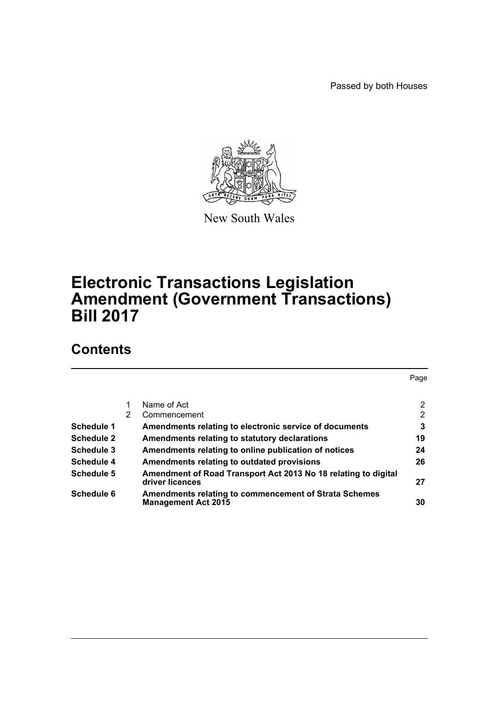Passed by both Houses



New South Wales

# **Electronic Transactions Legislation Amendment (Government Transactions) Bill 2017**

# **Contents**

|                   |   |                                                                                     | Page           |
|-------------------|---|-------------------------------------------------------------------------------------|----------------|
|                   |   | Name of Act                                                                         | $\overline{2}$ |
|                   | 2 | Commencement                                                                        | $\overline{2}$ |
| Schedule 1        |   | Amendments relating to electronic service of documents                              | 3              |
| <b>Schedule 2</b> |   | Amendments relating to statutory declarations                                       | 19             |
| Schedule 3        |   | Amendments relating to online publication of notices                                | 24             |
| Schedule 4        |   | Amendments relating to outdated provisions                                          | 26             |
| Schedule 5        |   | Amendment of Road Transport Act 2013 No 18 relating to digital<br>driver licences   | 27             |
| Schedule 6        |   | Amendments relating to commencement of Strata Schemes<br><b>Management Act 2015</b> | 30             |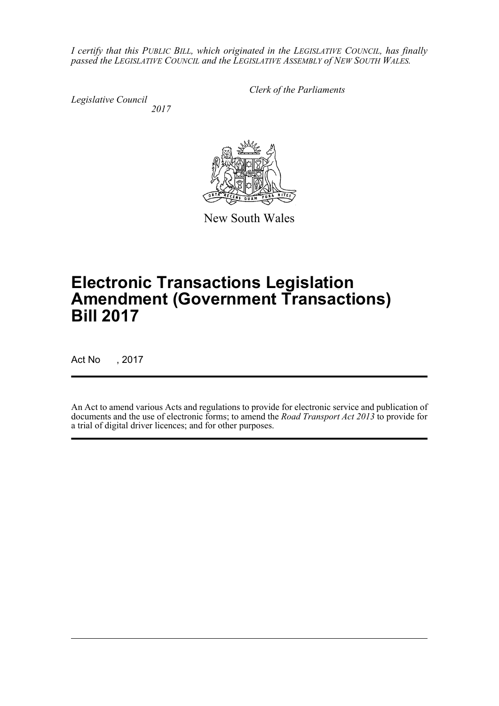*I certify that this PUBLIC BILL, which originated in the LEGISLATIVE COUNCIL, has finally passed the LEGISLATIVE COUNCIL and the LEGISLATIVE ASSEMBLY of NEW SOUTH WALES.*

*Legislative Council 2017* *Clerk of the Parliaments*



New South Wales

# **Electronic Transactions Legislation Amendment (Government Transactions) Bill 2017**

Act No , 2017

An Act to amend various Acts and regulations to provide for electronic service and publication of documents and the use of electronic forms; to amend the *Road Transport Act 2013* to provide for a trial of digital driver licences; and for other purposes.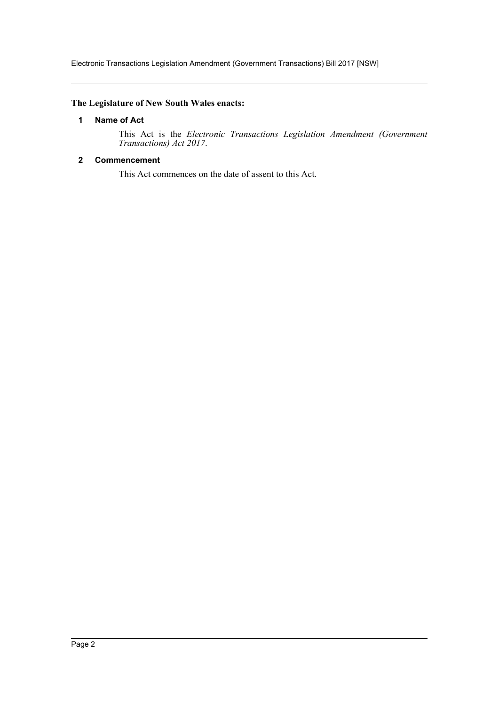#### <span id="page-2-0"></span>**The Legislature of New South Wales enacts:**

#### **1 Name of Act**

This Act is the *Electronic Transactions Legislation Amendment (Government Transactions) Act 2017*.

#### <span id="page-2-1"></span>**2 Commencement**

This Act commences on the date of assent to this Act.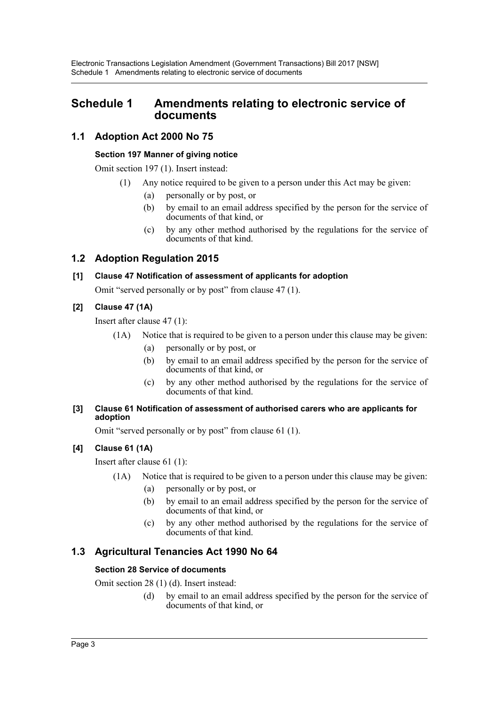# <span id="page-3-0"></span>**Schedule 1 Amendments relating to electronic service of documents**

# **1.1 Adoption Act 2000 No 75**

### **Section 197 Manner of giving notice**

Omit section 197 (1). Insert instead:

- (1) Any notice required to be given to a person under this Act may be given:
	- (a) personally or by post, or
	- (b) by email to an email address specified by the person for the service of documents of that kind, or
	- (c) by any other method authorised by the regulations for the service of documents of that kind.

# **1.2 Adoption Regulation 2015**

# **[1] Clause 47 Notification of assessment of applicants for adoption**

Omit "served personally or by post" from clause 47 (1).

# **[2] Clause 47 (1A)**

Insert after clause 47 (1):

- (1A) Notice that is required to be given to a person under this clause may be given:
	- (a) personally or by post, or
	- (b) by email to an email address specified by the person for the service of documents of that kind, or
	- (c) by any other method authorised by the regulations for the service of documents of that kind.

#### **[3] Clause 61 Notification of assessment of authorised carers who are applicants for adoption**

Omit "served personally or by post" from clause 61 (1).

# **[4] Clause 61 (1A)**

Insert after clause 61 (1):

- (1A) Notice that is required to be given to a person under this clause may be given:
	- (a) personally or by post, or
	- (b) by email to an email address specified by the person for the service of documents of that kind, or
	- (c) by any other method authorised by the regulations for the service of documents of that kind.

# **1.3 Agricultural Tenancies Act 1990 No 64**

# **Section 28 Service of documents**

Omit section 28 (1) (d). Insert instead:

(d) by email to an email address specified by the person for the service of documents of that kind, or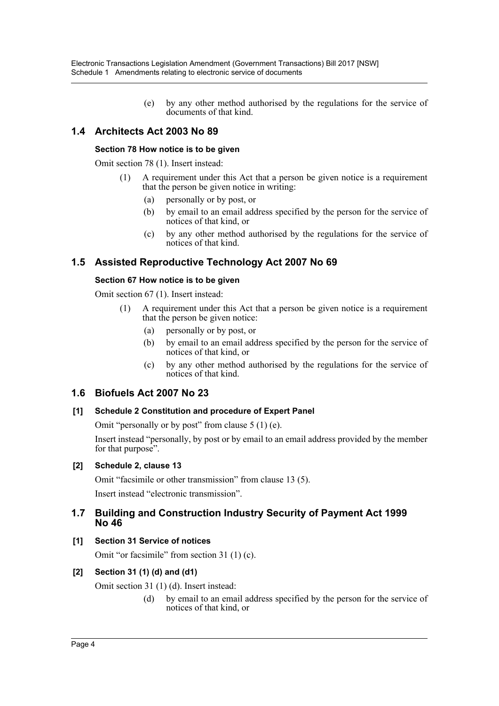(e) by any other method authorised by the regulations for the service of documents of that kind.

# **1.4 Architects Act 2003 No 89**

#### **Section 78 How notice is to be given**

Omit section 78 (1). Insert instead:

- (1) A requirement under this Act that a person be given notice is a requirement that the person be given notice in writing:
	- (a) personally or by post, or
	- (b) by email to an email address specified by the person for the service of notices of that kind, or
	- (c) by any other method authorised by the regulations for the service of notices of that kind.

# **1.5 Assisted Reproductive Technology Act 2007 No 69**

#### **Section 67 How notice is to be given**

Omit section 67 (1). Insert instead:

- (1) A requirement under this Act that a person be given notice is a requirement that the person be given notice:
	- (a) personally or by post, or
	- (b) by email to an email address specified by the person for the service of notices of that kind, or
	- (c) by any other method authorised by the regulations for the service of notices of that kind.

# **1.6 Biofuels Act 2007 No 23**

#### **[1] Schedule 2 Constitution and procedure of Expert Panel**

Omit "personally or by post" from clause 5 (1) (e).

Insert instead "personally, by post or by email to an email address provided by the member for that purpose".

#### **[2] Schedule 2, clause 13**

Omit "facsimile or other transmission" from clause 13 (5). Insert instead "electronic transmission".

## **1.7 Building and Construction Industry Security of Payment Act 1999 No 46**

**[1] Section 31 Service of notices**

Omit "or facsimile" from section 31 (1) (c).

# **[2] Section 31 (1) (d) and (d1)**

Omit section 31 (1) (d). Insert instead:

(d) by email to an email address specified by the person for the service of notices of that kind, or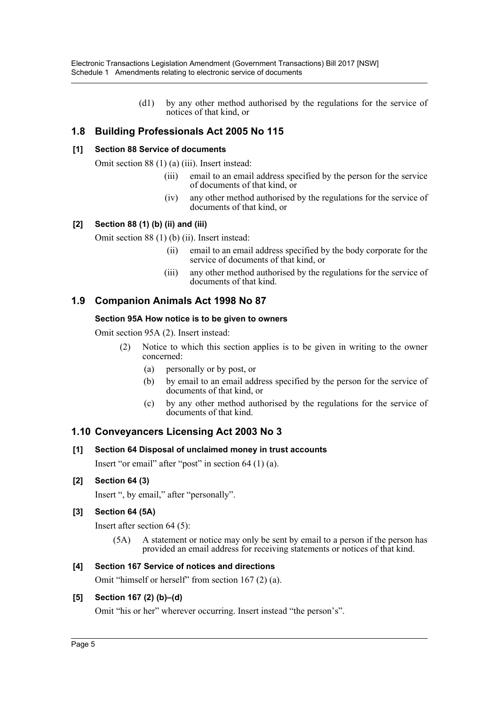(d1) by any other method authorised by the regulations for the service of notices of that kind, or

# **1.8 Building Professionals Act 2005 No 115**

#### **[1] Section 88 Service of documents**

Omit section 88 (1) (a) (iii). Insert instead:

- (iii) email to an email address specified by the person for the service of documents of that kind, or
- (iv) any other method authorised by the regulations for the service of documents of that kind, or

#### **[2] Section 88 (1) (b) (ii) and (iii)**

Omit section 88 (1) (b) (ii). Insert instead:

- (ii) email to an email address specified by the body corporate for the service of documents of that kind, or
- (iii) any other method authorised by the regulations for the service of documents of that kind.

# **1.9 Companion Animals Act 1998 No 87**

#### **Section 95A How notice is to be given to owners**

Omit section 95A (2). Insert instead:

- (2) Notice to which this section applies is to be given in writing to the owner concerned:
	- (a) personally or by post, or
	- (b) by email to an email address specified by the person for the service of documents of that kind, or
	- (c) by any other method authorised by the regulations for the service of documents of that kind.

# **1.10 Conveyancers Licensing Act 2003 No 3**

#### **[1] Section 64 Disposal of unclaimed money in trust accounts**

Insert "or email" after "post" in section 64 (1) (a).

#### **[2] Section 64 (3)**

Insert ", by email," after "personally".

#### **[3] Section 64 (5A)**

Insert after section 64 (5):

(5A) A statement or notice may only be sent by email to a person if the person has provided an email address for receiving statements or notices of that kind.

#### **[4] Section 167 Service of notices and directions**

Omit "himself or herself" from section 167 (2) (a).

#### **[5] Section 167 (2) (b)–(d)**

Omit "his or her" wherever occurring. Insert instead "the person's".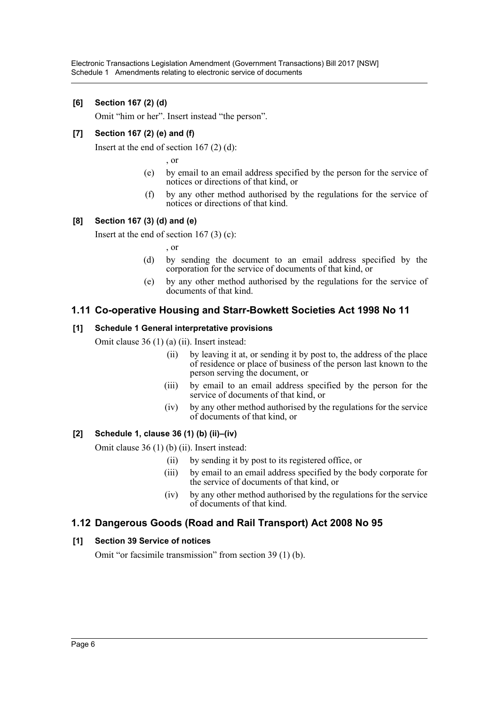### **[6] Section 167 (2) (d)**

Omit "him or her". Insert instead "the person".

### **[7] Section 167 (2) (e) and (f)**

Insert at the end of section  $167(2)(d)$ :

, or

- (e) by email to an email address specified by the person for the service of notices or directions of that kind, or
- (f) by any other method authorised by the regulations for the service of notices or directions of that kind.

#### **[8] Section 167 (3) (d) and (e)**

Insert at the end of section  $167(3)(c)$ :

, or

- (d) by sending the document to an email address specified by the corporation for the service of documents of that kind, or
- (e) by any other method authorised by the regulations for the service of documents of that kind.

# **1.11 Co-operative Housing and Starr-Bowkett Societies Act 1998 No 11**

#### **[1] Schedule 1 General interpretative provisions**

Omit clause 36 (1) (a) (ii). Insert instead:

- (ii) by leaving it at, or sending it by post to, the address of the place of residence or place of business of the person last known to the person serving the document, or
- (iii) by email to an email address specified by the person for the service of documents of that kind, or
- (iv) by any other method authorised by the regulations for the service of documents of that kind, or

#### **[2] Schedule 1, clause 36 (1) (b) (ii)–(iv)**

Omit clause 36 (1) (b) (ii). Insert instead:

- (ii) by sending it by post to its registered office, or
- (iii) by email to an email address specified by the body corporate for the service of documents of that kind, or
- (iv) by any other method authorised by the regulations for the service of documents of that kind.

# **1.12 Dangerous Goods (Road and Rail Transport) Act 2008 No 95**

#### **[1] Section 39 Service of notices**

Omit "or facsimile transmission" from section 39 (1) (b).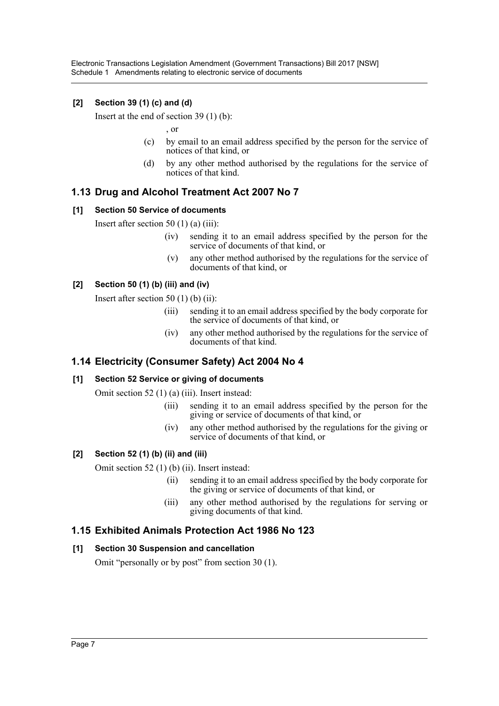Electronic Transactions Legislation Amendment (Government Transactions) Bill 2017 [NSW] Schedule 1 Amendments relating to electronic service of documents

### **[2] Section 39 (1) (c) and (d)**

Insert at the end of section 39 (1) (b):

, or

- (c) by email to an email address specified by the person for the service of notices of that kind, or
- (d) by any other method authorised by the regulations for the service of notices of that kind.

# **1.13 Drug and Alcohol Treatment Act 2007 No 7**

#### **[1] Section 50 Service of documents**

Insert after section 50  $(1)$  (a)  $(iii)$ :

- (iv) sending it to an email address specified by the person for the service of documents of that kind, or
- (v) any other method authorised by the regulations for the service of documents of that kind, or

#### **[2] Section 50 (1) (b) (iii) and (iv)**

Insert after section 50  $(1)$  (b)  $(ii)$ :

- (iii) sending it to an email address specified by the body corporate for the service of documents of that kind, or
- (iv) any other method authorised by the regulations for the service of documents of that kind.

# **1.14 Electricity (Consumer Safety) Act 2004 No 4**

#### **[1] Section 52 Service or giving of documents**

Omit section 52 (1) (a) (iii). Insert instead:

- (iii) sending it to an email address specified by the person for the giving or service of documents of that kind, or
- (iv) any other method authorised by the regulations for the giving or service of documents of that kind, or

#### **[2] Section 52 (1) (b) (ii) and (iii)**

Omit section 52 (1) (b) (ii). Insert instead:

- (ii) sending it to an email address specified by the body corporate for the giving or service of documents of that kind, or
- (iii) any other method authorised by the regulations for serving or giving documents of that kind.

#### **1.15 Exhibited Animals Protection Act 1986 No 123**

#### **[1] Section 30 Suspension and cancellation**

Omit "personally or by post" from section 30 (1).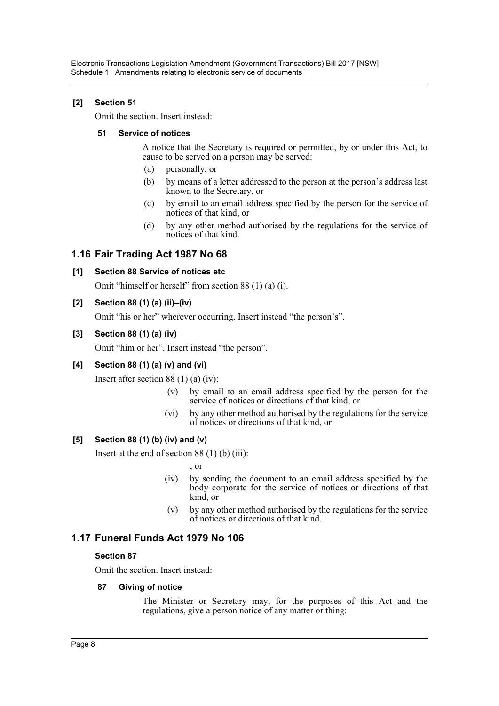# **[2] Section 51**

Omit the section. Insert instead:

#### **51 Service of notices**

A notice that the Secretary is required or permitted, by or under this Act, to cause to be served on a person may be served:

- (a) personally, or
- (b) by means of a letter addressed to the person at the person's address last known to the Secretary, or
- (c) by email to an email address specified by the person for the service of notices of that kind, or
- (d) by any other method authorised by the regulations for the service of notices of that kind.

# **1.16 Fair Trading Act 1987 No 68**

#### **[1] Section 88 Service of notices etc**

Omit "himself or herself" from section 88 (1) (a) (i).

#### **[2] Section 88 (1) (a) (ii)–(iv)**

Omit "his or her" wherever occurring. Insert instead "the person's".

#### **[3] Section 88 (1) (a) (iv)**

Omit "him or her". Insert instead "the person".

# **[4] Section 88 (1) (a) (v) and (vi)**

Insert after section 88 (1) (a) (iv):

- (v) by email to an email address specified by the person for the service of notices or directions of that kind, or
- (vi) by any other method authorised by the regulations for the service of notices or directions of that kind, or

#### **[5] Section 88 (1) (b) (iv) and (v)**

Insert at the end of section  $88(1)$  (b) (iii):

, or

- (iv) by sending the document to an email address specified by the body corporate for the service of notices or directions of that kind, or
- (v) by any other method authorised by the regulations for the service of notices or directions of that kind.

# **1.17 Funeral Funds Act 1979 No 106**

#### **Section 87**

Omit the section. Insert instead:

#### **87 Giving of notice**

The Minister or Secretary may, for the purposes of this Act and the regulations, give a person notice of any matter or thing: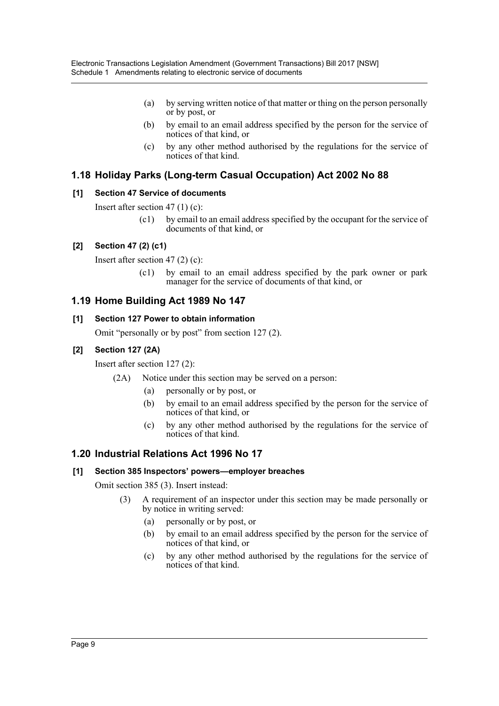- (a) by serving written notice of that matter or thing on the person personally or by post, or
- (b) by email to an email address specified by the person for the service of notices of that kind, or
- (c) by any other method authorised by the regulations for the service of notices of that kind.

# **1.18 Holiday Parks (Long-term Casual Occupation) Act 2002 No 88**

## **[1] Section 47 Service of documents**

Insert after section 47 (1) (c):

(c1) by email to an email address specified by the occupant for the service of documents of that kind, or

## **[2] Section 47 (2) (c1)**

Insert after section 47 (2) (c):

(c1) by email to an email address specified by the park owner or park manager for the service of documents of that kind, or

## **1.19 Home Building Act 1989 No 147**

#### **[1] Section 127 Power to obtain information**

Omit "personally or by post" from section 127 (2).

#### **[2] Section 127 (2A)**

Insert after section 127 (2):

- (2A) Notice under this section may be served on a person:
	- (a) personally or by post, or
	- (b) by email to an email address specified by the person for the service of notices of that kind, or
	- (c) by any other method authorised by the regulations for the service of notices of that kind.

# **1.20 Industrial Relations Act 1996 No 17**

#### **[1] Section 385 Inspectors' powers—employer breaches**

Omit section 385 (3). Insert instead:

- (3) A requirement of an inspector under this section may be made personally or by notice in writing served:
	- (a) personally or by post, or
	- (b) by email to an email address specified by the person for the service of notices of that kind, or
	- (c) by any other method authorised by the regulations for the service of notices of that kind.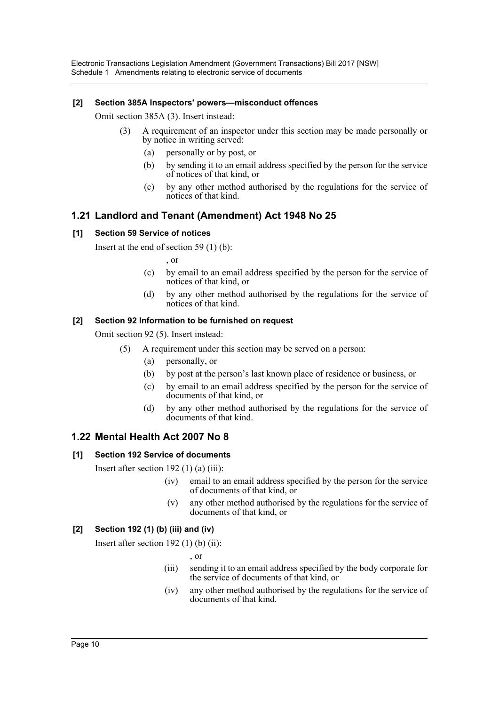Electronic Transactions Legislation Amendment (Government Transactions) Bill 2017 [NSW] Schedule 1 Amendments relating to electronic service of documents

#### **[2] Section 385A Inspectors' powers—misconduct offences**

Omit section 385A (3). Insert instead:

- (3) A requirement of an inspector under this section may be made personally or by notice in writing served:
	- (a) personally or by post, or
	- (b) by sending it to an email address specified by the person for the service of notices of that kind, or
	- (c) by any other method authorised by the regulations for the service of notices of that kind.

# **1.21 Landlord and Tenant (Amendment) Act 1948 No 25**

#### **[1] Section 59 Service of notices**

Insert at the end of section 59 (1) (b):

, or

- (c) by email to an email address specified by the person for the service of notices of that kind, or
- (d) by any other method authorised by the regulations for the service of notices of that kind.

#### **[2] Section 92 Information to be furnished on request**

Omit section 92 (5). Insert instead:

- (5) A requirement under this section may be served on a person:
	- (a) personally, or
	- (b) by post at the person's last known place of residence or business, or
	- (c) by email to an email address specified by the person for the service of documents of that kind, or
	- (d) by any other method authorised by the regulations for the service of documents of that kind.

# **1.22 Mental Health Act 2007 No 8**

#### **[1] Section 192 Service of documents**

Insert after section  $192$  (1) (a) (iii):

- (iv) email to an email address specified by the person for the service of documents of that kind, or
- (v) any other method authorised by the regulations for the service of documents of that kind, or

#### **[2] Section 192 (1) (b) (iii) and (iv)**

Insert after section  $192$  (1) (b) (ii):

, or

- (iii) sending it to an email address specified by the body corporate for the service of documents of that kind, or
- (iv) any other method authorised by the regulations for the service of documents of that kind.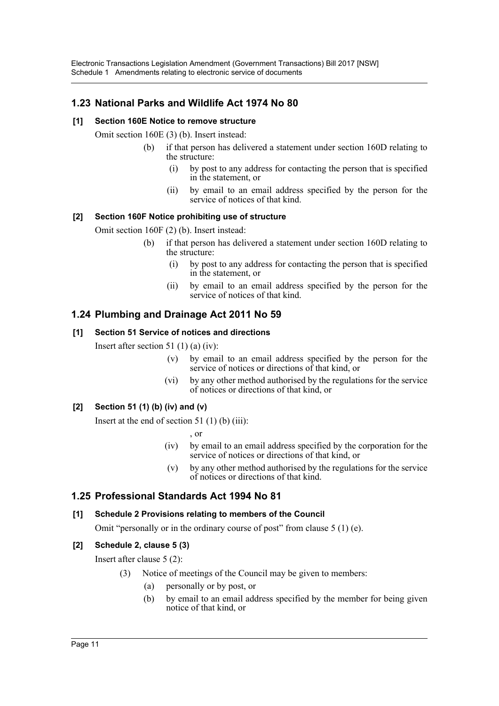# **1.23 National Parks and Wildlife Act 1974 No 80**

#### **[1] Section 160E Notice to remove structure**

Omit section 160E (3) (b). Insert instead:

- (b) if that person has delivered a statement under section 160D relating to the structure:
	- (i) by post to any address for contacting the person that is specified in the statement, or
	- (ii) by email to an email address specified by the person for the service of notices of that kind.

#### **[2] Section 160F Notice prohibiting use of structure**

Omit section 160F (2) (b). Insert instead:

- (b) if that person has delivered a statement under section 160D relating to the structure:
	- (i) by post to any address for contacting the person that is specified in the statement, or
	- (ii) by email to an email address specified by the person for the service of notices of that kind.

# **1.24 Plumbing and Drainage Act 2011 No 59**

#### **[1] Section 51 Service of notices and directions**

Insert after section 51  $(1)$  (a)  $(iv)$ :

- (v) by email to an email address specified by the person for the service of notices or directions of that kind, or
- (vi) by any other method authorised by the regulations for the service of notices or directions of that kind, or

#### **[2] Section 51 (1) (b) (iv) and (v)**

Insert at the end of section 51 (1) (b) (iii):

, or

- (iv) by email to an email address specified by the corporation for the service of notices or directions of that kind, or
- (v) by any other method authorised by the regulations for the service of notices or directions of that kind.

# **1.25 Professional Standards Act 1994 No 81**

#### **[1] Schedule 2 Provisions relating to members of the Council**

Omit "personally or in the ordinary course of post" from clause 5 (1) (e).

# **[2] Schedule 2, clause 5 (3)**

Insert after clause 5 (2):

- (3) Notice of meetings of the Council may be given to members:
	- (a) personally or by post, or
	- (b) by email to an email address specified by the member for being given notice of that kind, or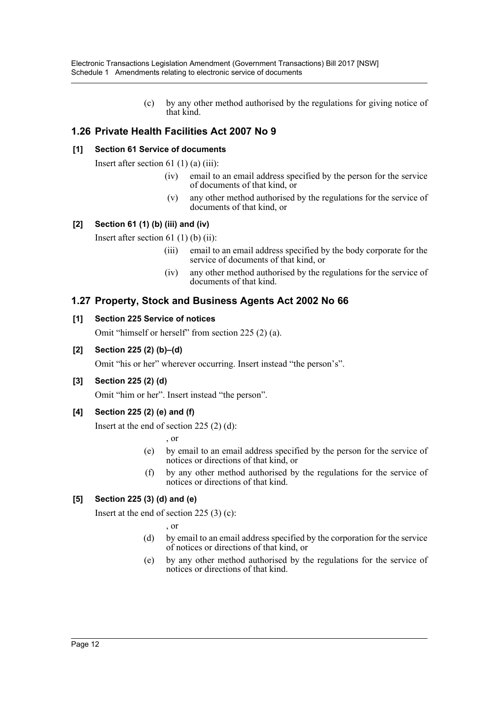(c) by any other method authorised by the regulations for giving notice of that kind.

# **1.26 Private Health Facilities Act 2007 No 9**

## **[1] Section 61 Service of documents**

Insert after section 61  $(1)$  (a)  $(iii)$ :

- (iv) email to an email address specified by the person for the service of documents of that kind, or
- (v) any other method authorised by the regulations for the service of documents of that kind, or

## **[2] Section 61 (1) (b) (iii) and (iv)**

Insert after section  $61$  (1) (b) (ii):

- (iii) email to an email address specified by the body corporate for the service of documents of that kind, or
- (iv) any other method authorised by the regulations for the service of documents of that kind.

# **1.27 Property, Stock and Business Agents Act 2002 No 66**

#### **[1] Section 225 Service of notices**

Omit "himself or herself" from section 225 (2) (a).

#### **[2] Section 225 (2) (b)–(d)**

Omit "his or her" wherever occurring. Insert instead "the person's".

#### **[3] Section 225 (2) (d)**

Omit "him or her". Insert instead "the person".

#### **[4] Section 225 (2) (e) and (f)**

Insert at the end of section 225 (2) (d):

, or

- (e) by email to an email address specified by the person for the service of notices or directions of that kind, or
- (f) by any other method authorised by the regulations for the service of notices or directions of that kind.

# **[5] Section 225 (3) (d) and (e)**

Insert at the end of section 225 (3) (c):

, or

- (d) by email to an email address specified by the corporation for the service of notices or directions of that kind, or
- (e) by any other method authorised by the regulations for the service of notices or directions of that kind.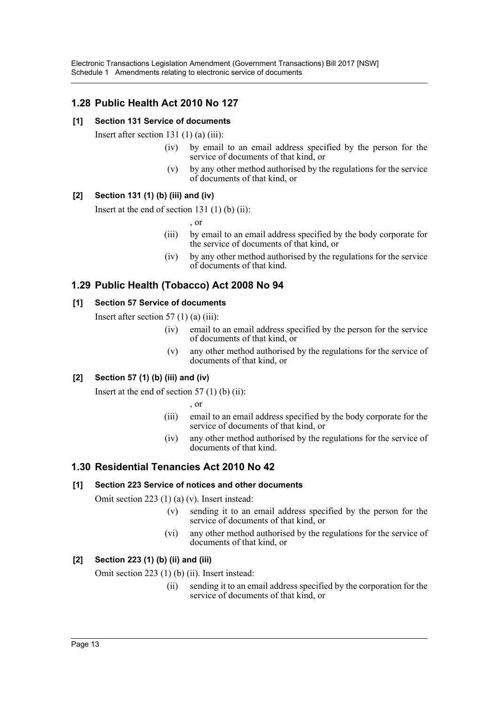# **1.28 Public Health Act 2010 No 127**

## **[1] Section 131 Service of documents**

Insert after section 131 $(1)$  $(a)$  $(iii)$ :

- (iv) by email to an email address specified by the person for the service of documents of that kind, or
- (v) by any other method authorised by the regulations for the service of documents of that kind, or

## **[2] Section 131 (1) (b) (iii) and (iv)**

Insert at the end of section  $131(1)$  (b) (ii):

, or

- (iii) by email to an email address specified by the body corporate for the service of documents of that kind, or
- (iv) by any other method authorised by the regulations for the service of documents of that kind.

# **1.29 Public Health (Tobacco) Act 2008 No 94**

#### **[1] Section 57 Service of documents**

Insert after section 57 $(1)$  $(a)$  $(iii)$ :

- (iv) email to an email address specified by the person for the service of documents of that kind, or
- (v) any other method authorised by the regulations for the service of documents of that kind, or

# **[2] Section 57 (1) (b) (iii) and (iv)**

Insert at the end of section  $57(1)$  (b) (ii):

, or

- (iii) email to an email address specified by the body corporate for the service of documents of that kind, or
- (iv) any other method authorised by the regulations for the service of documents of that kind.

# **1.30 Residential Tenancies Act 2010 No 42**

#### **[1] Section 223 Service of notices and other documents**

Omit section 223 (1) (a) (v). Insert instead:

- (v) sending it to an email address specified by the person for the service of documents of that kind, or
- (vi) any other method authorised by the regulations for the service of documents of that kind, or

# **[2] Section 223 (1) (b) (ii) and (iii)**

Omit section 223 (1) (b) (ii). Insert instead:

(ii) sending it to an email address specified by the corporation for the service of documents of that kind, or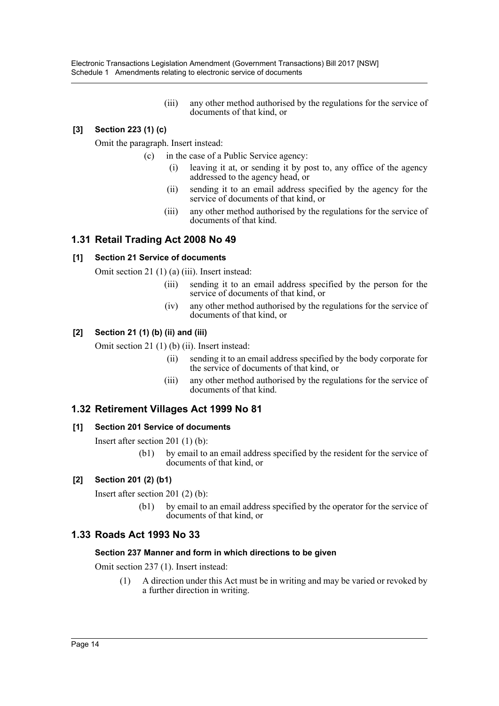Electronic Transactions Legislation Amendment (Government Transactions) Bill 2017 [NSW] Schedule 1 Amendments relating to electronic service of documents

> (iii) any other method authorised by the regulations for the service of documents of that kind, or

## **[3] Section 223 (1) (c)**

Omit the paragraph. Insert instead:

- (c) in the case of a Public Service agency:
	- (i) leaving it at, or sending it by post to, any office of the agency addressed to the agency head, or
	- (ii) sending it to an email address specified by the agency for the service of documents of that kind, or
	- (iii) any other method authorised by the regulations for the service of documents of that kind.

## **1.31 Retail Trading Act 2008 No 49**

#### **[1] Section 21 Service of documents**

Omit section 21 (1) (a) (iii). Insert instead:

- (iii) sending it to an email address specified by the person for the service of documents of that kind, or
- (iv) any other method authorised by the regulations for the service of documents of that kind, or

#### **[2] Section 21 (1) (b) (ii) and (iii)**

Omit section 21 (1) (b) (ii). Insert instead:

- (ii) sending it to an email address specified by the body corporate for the service of documents of that kind, or
- (iii) any other method authorised by the regulations for the service of documents of that kind.

#### **1.32 Retirement Villages Act 1999 No 81**

#### **[1] Section 201 Service of documents**

Insert after section 201 (1) (b):

(b1) by email to an email address specified by the resident for the service of documents of that kind, or

#### **[2] Section 201 (2) (b1)**

Insert after section 201 (2) (b):

(b1) by email to an email address specified by the operator for the service of documents of that kind, or

#### **1.33 Roads Act 1993 No 33**

#### **Section 237 Manner and form in which directions to be given**

Omit section 237 (1). Insert instead:

(1) A direction under this Act must be in writing and may be varied or revoked by a further direction in writing.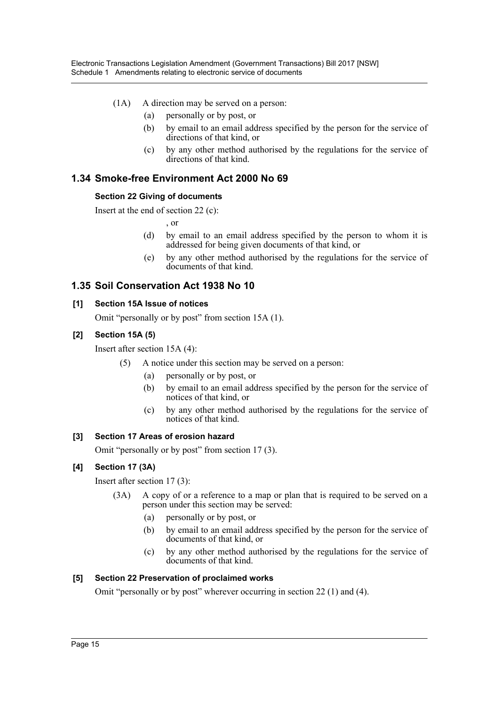- (1A) A direction may be served on a person:
	- (a) personally or by post, or
	- (b) by email to an email address specified by the person for the service of directions of that kind, or
	- (c) by any other method authorised by the regulations for the service of directions of that kind.

# **1.34 Smoke-free Environment Act 2000 No 69**

#### **Section 22 Giving of documents**

Insert at the end of section 22 (c):

, or

- (d) by email to an email address specified by the person to whom it is addressed for being given documents of that kind, or
- (e) by any other method authorised by the regulations for the service of documents of that kind.

# **1.35 Soil Conservation Act 1938 No 10**

#### **[1] Section 15A Issue of notices**

Omit "personally or by post" from section 15A (1).

#### **[2] Section 15A (5)**

Insert after section 15A (4):

- (5) A notice under this section may be served on a person:
	- (a) personally or by post, or
	- (b) by email to an email address specified by the person for the service of notices of that kind, or
	- (c) by any other method authorised by the regulations for the service of notices of that kind.

#### **[3] Section 17 Areas of erosion hazard**

Omit "personally or by post" from section 17 (3).

#### **[4] Section 17 (3A)**

Insert after section 17 (3):

- (3A) A copy of or a reference to a map or plan that is required to be served on a person under this section may be served:
	- (a) personally or by post, or
	- (b) by email to an email address specified by the person for the service of documents of that kind, or
	- (c) by any other method authorised by the regulations for the service of documents of that kind.

#### **[5] Section 22 Preservation of proclaimed works**

Omit "personally or by post" wherever occurring in section 22 (1) and (4).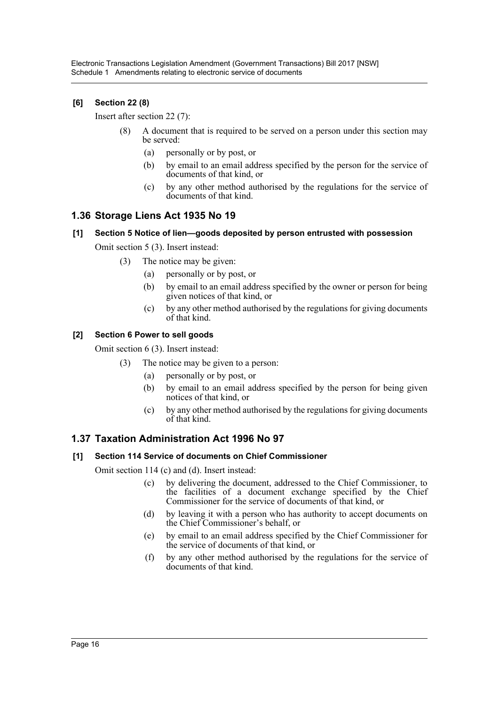## **[6] Section 22 (8)**

Insert after section 22 (7):

- (8) A document that is required to be served on a person under this section may be served:
	- (a) personally or by post, or
	- (b) by email to an email address specified by the person for the service of documents of that kind, or
	- (c) by any other method authorised by the regulations for the service of documents of that kind.

# **1.36 Storage Liens Act 1935 No 19**

# **[1] Section 5 Notice of lien—goods deposited by person entrusted with possession**

Omit section 5 (3). Insert instead:

- (3) The notice may be given:
	- (a) personally or by post, or
	- (b) by email to an email address specified by the owner or person for being given notices of that kind, or
	- (c) by any other method authorised by the regulations for giving documents of that kind.

#### **[2] Section 6 Power to sell goods**

Omit section 6 (3). Insert instead:

- (3) The notice may be given to a person:
	- (a) personally or by post, or
	- (b) by email to an email address specified by the person for being given notices of that kind, or
	- (c) by any other method authorised by the regulations for giving documents of that kind.

# **1.37 Taxation Administration Act 1996 No 97**

#### **[1] Section 114 Service of documents on Chief Commissioner**

Omit section 114 (c) and (d). Insert instead:

- (c) by delivering the document, addressed to the Chief Commissioner, to the facilities of a document exchange specified by the Chief Commissioner for the service of documents of that kind, or
- (d) by leaving it with a person who has authority to accept documents on the Chief Commissioner's behalf, or
- (e) by email to an email address specified by the Chief Commissioner for the service of documents of that kind, or
- (f) by any other method authorised by the regulations for the service of documents of that kind.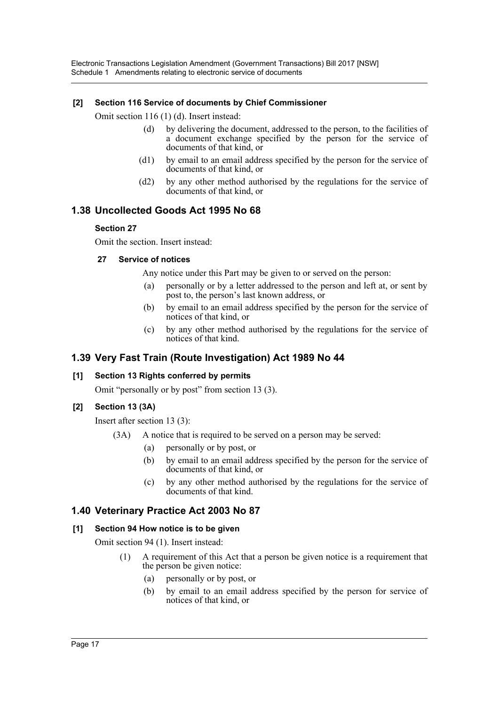Electronic Transactions Legislation Amendment (Government Transactions) Bill 2017 [NSW] Schedule 1 Amendments relating to electronic service of documents

#### **[2] Section 116 Service of documents by Chief Commissioner**

Omit section 116 (1) (d). Insert instead:

- (d) by delivering the document, addressed to the person, to the facilities of a document exchange specified by the person for the service of documents of that kind, or
- (d1) by email to an email address specified by the person for the service of documents of that kind, or
- (d2) by any other method authorised by the regulations for the service of documents of that kind, or

# **1.38 Uncollected Goods Act 1995 No 68**

#### **Section 27**

Omit the section. Insert instead:

#### **27 Service of notices**

Any notice under this Part may be given to or served on the person:

- (a) personally or by a letter addressed to the person and left at, or sent by post to, the person's last known address, or
- (b) by email to an email address specified by the person for the service of notices of that kind, or
- (c) by any other method authorised by the regulations for the service of notices of that kind.

# **1.39 Very Fast Train (Route Investigation) Act 1989 No 44**

#### **[1] Section 13 Rights conferred by permits**

Omit "personally or by post" from section 13 (3).

#### **[2] Section 13 (3A)**

Insert after section 13 (3):

- (3A) A notice that is required to be served on a person may be served:
	- (a) personally or by post, or
	- (b) by email to an email address specified by the person for the service of documents of that kind, or
	- (c) by any other method authorised by the regulations for the service of documents of that kind.

# **1.40 Veterinary Practice Act 2003 No 87**

#### **[1] Section 94 How notice is to be given**

Omit section 94 (1). Insert instead:

- (1) A requirement of this Act that a person be given notice is a requirement that the person be given notice:
	- (a) personally or by post, or
	- (b) by email to an email address specified by the person for service of notices of that kind, or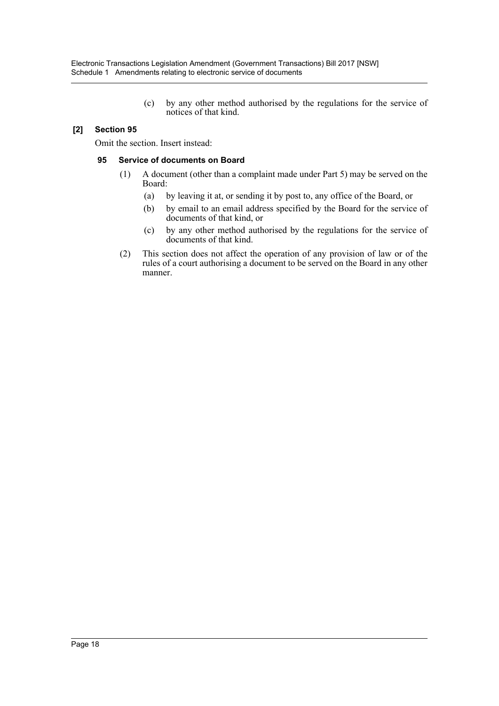(c) by any other method authorised by the regulations for the service of notices of that kind.

## **[2] Section 95**

Omit the section. Insert instead:

#### **95 Service of documents on Board**

- (1) A document (other than a complaint made under Part 5) may be served on the Board:
	- (a) by leaving it at, or sending it by post to, any office of the Board, or
	- (b) by email to an email address specified by the Board for the service of documents of that kind, or
	- (c) by any other method authorised by the regulations for the service of documents of that kind.
- (2) This section does not affect the operation of any provision of law or of the rules of a court authorising a document to be served on the Board in any other manner.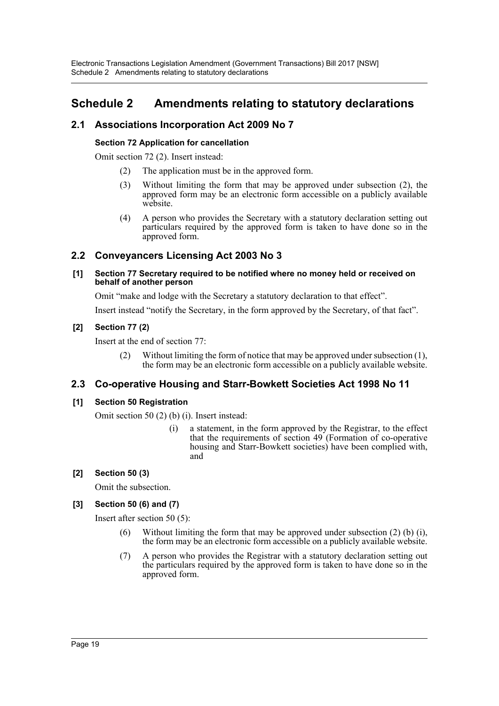# <span id="page-19-0"></span>**Schedule 2 Amendments relating to statutory declarations**

# **2.1 Associations Incorporation Act 2009 No 7**

## **Section 72 Application for cancellation**

Omit section 72 (2). Insert instead:

- (2) The application must be in the approved form.
- (3) Without limiting the form that may be approved under subsection (2), the approved form may be an electronic form accessible on a publicly available website.
- (4) A person who provides the Secretary with a statutory declaration setting out particulars required by the approved form is taken to have done so in the approved form.

# **2.2 Conveyancers Licensing Act 2003 No 3**

#### **[1] Section 77 Secretary required to be notified where no money held or received on behalf of another person**

Omit "make and lodge with the Secretary a statutory declaration to that effect".

Insert instead "notify the Secretary, in the form approved by the Secretary, of that fact".

# **[2] Section 77 (2)**

Insert at the end of section 77:

(2) Without limiting the form of notice that may be approved under subsection (1), the form may be an electronic form accessible on a publicly available website.

# **2.3 Co-operative Housing and Starr-Bowkett Societies Act 1998 No 11**

# **[1] Section 50 Registration**

Omit section 50 (2) (b) (i). Insert instead:

(i) a statement, in the form approved by the Registrar, to the effect that the requirements of section 49 (Formation of co-operative housing and Starr-Bowkett societies) have been complied with, and

# **[2] Section 50 (3)**

Omit the subsection.

# **[3] Section 50 (6) and (7)**

Insert after section 50 (5):

- (6) Without limiting the form that may be approved under subsection (2) (b) (i), the form may be an electronic form accessible on a publicly available website.
- (7) A person who provides the Registrar with a statutory declaration setting out the particulars required by the approved form is taken to have done so in the approved form.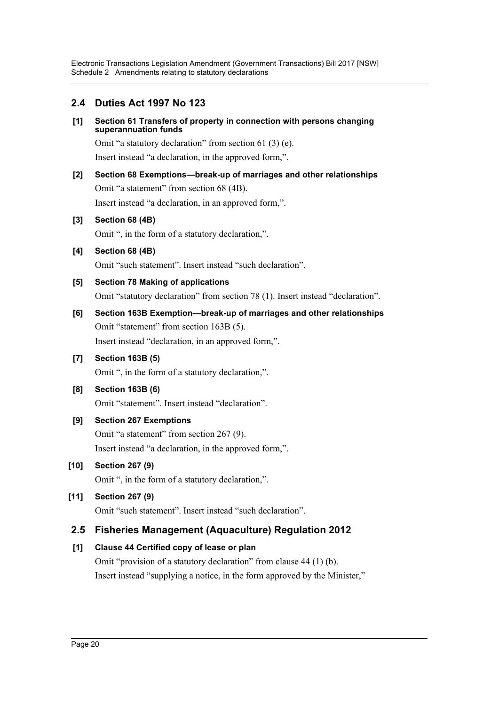# **2.4 Duties Act 1997 No 123**

#### **[1] Section 61 Transfers of property in connection with persons changing superannuation funds**

Omit "a statutory declaration" from section 61 (3) (e). Insert instead "a declaration, in the approved form,".

# **[2] Section 68 Exemptions—break-up of marriages and other relationships**

Omit "a statement" from section 68 (4B).

Insert instead "a declaration, in an approved form,".

# **[3] Section 68 (4B)**

Omit ", in the form of a statutory declaration,".

**[4] Section 68 (4B)** Omit "such statement". Insert instead "such declaration".

# **[5] Section 78 Making of applications**

Omit "statutory declaration" from section 78 (1). Insert instead "declaration".

# **[6] Section 163B Exemption—break-up of marriages and other relationships** Omit "statement" from section 163B (5). Insert instead "declaration, in an approved form,".

# **[7] Section 163B (5)**

Omit ", in the form of a statutory declaration,".

# **[8] Section 163B (6)**

Omit "statement". Insert instead "declaration".

# **[9] Section 267 Exemptions**

Omit "a statement" from section 267 (9). Insert instead "a declaration, in the approved form,".

# **[10] Section 267 (9)**

Omit ", in the form of a statutory declaration,".

# **[11] Section 267 (9)**

Omit "such statement". Insert instead "such declaration".

# **2.5 Fisheries Management (Aquaculture) Regulation 2012**

# **[1] Clause 44 Certified copy of lease or plan**

Omit "provision of a statutory declaration" from clause 44 (1) (b). Insert instead "supplying a notice, in the form approved by the Minister,"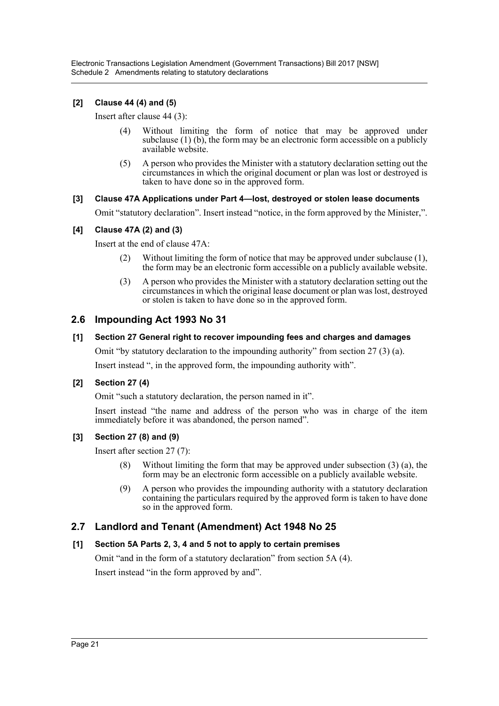Electronic Transactions Legislation Amendment (Government Transactions) Bill 2017 [NSW] Schedule 2 Amendments relating to statutory declarations

#### **[2] Clause 44 (4) and (5)**

Insert after clause 44 (3):

- (4) Without limiting the form of notice that may be approved under subclause  $(1)$  (b), the form may be an electronic form accessible on a publicly available website.
- (5) A person who provides the Minister with a statutory declaration setting out the circumstances in which the original document or plan was lost or destroyed is taken to have done so in the approved form.

#### **[3] Clause 47A Applications under Part 4—lost, destroyed or stolen lease documents**

Omit "statutory declaration". Insert instead "notice, in the form approved by the Minister,".

#### **[4] Clause 47A (2) and (3)**

Insert at the end of clause 47A:

- (2) Without limiting the form of notice that may be approved under subclause (1), the form may be an electronic form accessible on a publicly available website.
- (3) A person who provides the Minister with a statutory declaration setting out the circumstances in which the original lease document or plan was lost, destroyed or stolen is taken to have done so in the approved form.

# **2.6 Impounding Act 1993 No 31**

#### **[1] Section 27 General right to recover impounding fees and charges and damages**

Omit "by statutory declaration to the impounding authority" from section 27 (3) (a).

Insert instead ", in the approved form, the impounding authority with".

#### **[2] Section 27 (4)**

Omit "such a statutory declaration, the person named in it".

Insert instead "the name and address of the person who was in charge of the item immediately before it was abandoned, the person named".

#### **[3] Section 27 (8) and (9)**

Insert after section 27 (7):

- (8) Without limiting the form that may be approved under subsection (3) (a), the form may be an electronic form accessible on a publicly available website.
- (9) A person who provides the impounding authority with a statutory declaration containing the particulars required by the approved form is taken to have done so in the approved form.

#### **2.7 Landlord and Tenant (Amendment) Act 1948 No 25**

#### **[1] Section 5A Parts 2, 3, 4 and 5 not to apply to certain premises**

Omit "and in the form of a statutory declaration" from section 5A (4). Insert instead "in the form approved by and".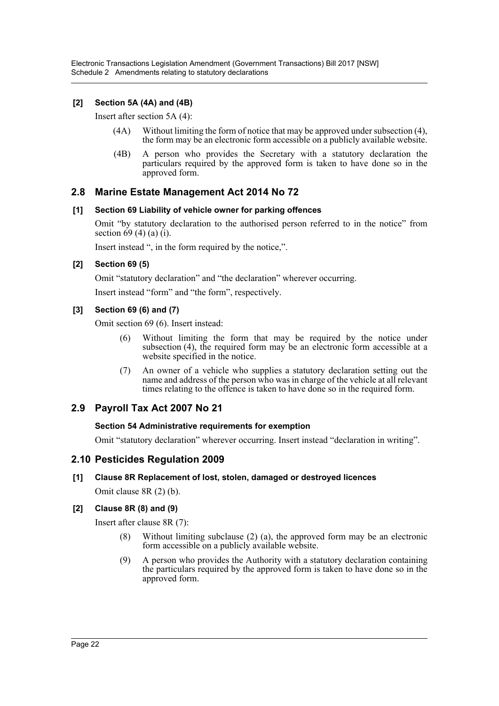Electronic Transactions Legislation Amendment (Government Transactions) Bill 2017 [NSW] Schedule 2 Amendments relating to statutory declarations

#### **[2] Section 5A (4A) and (4B)**

Insert after section 5A (4):

- (4A) Without limiting the form of notice that may be approved under subsection (4), the form may be an electronic form accessible on a publicly available website.
- (4B) A person who provides the Secretary with a statutory declaration the particulars required by the approved form is taken to have done so in the approved form.

#### **2.8 Marine Estate Management Act 2014 No 72**

#### **[1] Section 69 Liability of vehicle owner for parking offences**

Omit "by statutory declaration to the authorised person referred to in the notice" from section  $69(4)(a)(i)$ .

Insert instead ", in the form required by the notice,".

#### **[2] Section 69 (5)**

Omit "statutory declaration" and "the declaration" wherever occurring.

Insert instead "form" and "the form", respectively.

#### **[3] Section 69 (6) and (7)**

Omit section 69 (6). Insert instead:

- (6) Without limiting the form that may be required by the notice under subsection (4), the required form may be an electronic form accessible at a website specified in the notice.
- (7) An owner of a vehicle who supplies a statutory declaration setting out the name and address of the person who was in charge of the vehicle at all relevant times relating to the offence is taken to have done so in the required form.

#### **2.9 Payroll Tax Act 2007 No 21**

#### **Section 54 Administrative requirements for exemption**

Omit "statutory declaration" wherever occurring. Insert instead "declaration in writing".

#### **2.10 Pesticides Regulation 2009**

#### **[1] Clause 8R Replacement of lost, stolen, damaged or destroyed licences**

Omit clause 8R (2) (b).

#### **[2] Clause 8R (8) and (9)**

Insert after clause 8R (7):

- (8) Without limiting subclause (2) (a), the approved form may be an electronic form accessible on a publicly available website.
- (9) A person who provides the Authority with a statutory declaration containing the particulars required by the approved form is taken to have done so in the approved form.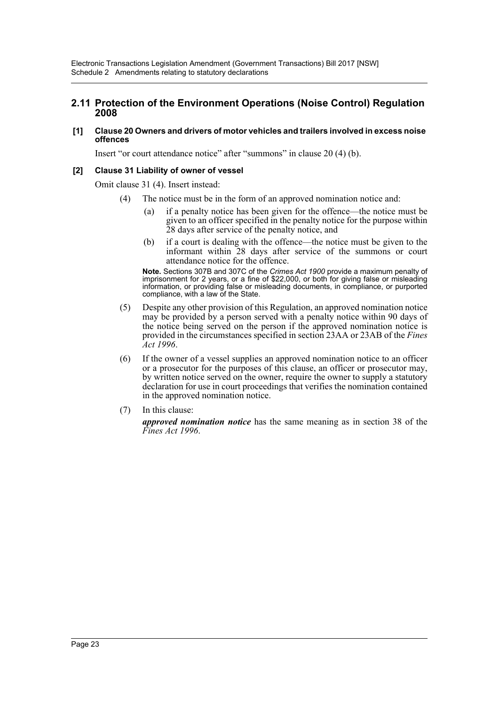### **2.11 Protection of the Environment Operations (Noise Control) Regulation 2008**

**[1] Clause 20 Owners and drivers of motor vehicles and trailers involved in excess noise offences**

Insert "or court attendance notice" after "summons" in clause 20 (4) (b).

#### **[2] Clause 31 Liability of owner of vessel**

Omit clause 31 (4). Insert instead:

- (4) The notice must be in the form of an approved nomination notice and:
	- (a) if a penalty notice has been given for the offence—the notice must be given to an officer specified in the penalty notice for the purpose within 28 days after service of the penalty notice, and
	- (b) if a court is dealing with the offence—the notice must be given to the informant within 28 days after service of the summons or court attendance notice for the offence.

**Note.** Sections 307B and 307C of the *Crimes Act 1900* provide a maximum penalty of imprisonment for 2 years, or a fine of \$22,000, or both for giving false or misleading information, or providing false or misleading documents, in compliance, or purported compliance, with a law of the State.

- (5) Despite any other provision of this Regulation, an approved nomination notice may be provided by a person served with a penalty notice within 90 days of the notice being served on the person if the approved nomination notice is provided in the circumstances specified in section 23AA or 23AB of the *Fines Act 1996*.
- (6) If the owner of a vessel supplies an approved nomination notice to an officer or a prosecutor for the purposes of this clause, an officer or prosecutor may, by written notice served on the owner, require the owner to supply a statutory declaration for use in court proceedings that verifies the nomination contained in the approved nomination notice.
- (7) In this clause:

*approved nomination notice* has the same meaning as in section 38 of the *Fines Act 1996*.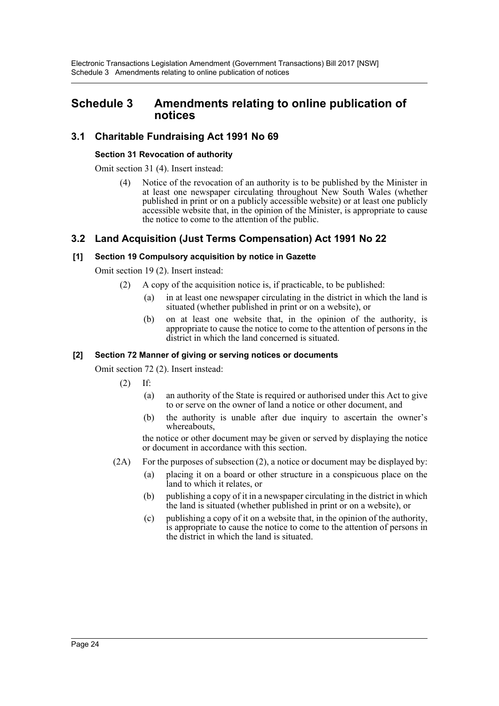# <span id="page-24-0"></span>**Schedule 3 Amendments relating to online publication of notices**

# **3.1 Charitable Fundraising Act 1991 No 69**

#### **Section 31 Revocation of authority**

Omit section 31 (4). Insert instead:

(4) Notice of the revocation of an authority is to be published by the Minister in at least one newspaper circulating throughout New South Wales (whether published in print or on a publicly accessible website) or at least one publicly accessible website that, in the opinion of the Minister, is appropriate to cause the notice to come to the attention of the public.

# **3.2 Land Acquisition (Just Terms Compensation) Act 1991 No 22**

#### **[1] Section 19 Compulsory acquisition by notice in Gazette**

Omit section 19 (2). Insert instead:

- (2) A copy of the acquisition notice is, if practicable, to be published:
	- (a) in at least one newspaper circulating in the district in which the land is situated (whether published in print or on a website), or
	- (b) on at least one website that, in the opinion of the authority, is appropriate to cause the notice to come to the attention of persons in the district in which the land concerned is situated.

#### **[2] Section 72 Manner of giving or serving notices or documents**

Omit section 72 (2). Insert instead:

- $(2)$  If:
	- (a) an authority of the State is required or authorised under this Act to give to or serve on the owner of land a notice or other document, and
	- (b) the authority is unable after due inquiry to ascertain the owner's whereabouts,

the notice or other document may be given or served by displaying the notice or document in accordance with this section.

- $(2A)$  For the purposes of subsection  $(2)$ , a notice or document may be displayed by:
	- (a) placing it on a board or other structure in a conspicuous place on the land to which it relates, or
	- (b) publishing a copy of it in a newspaper circulating in the district in which the land is situated (whether published in print or on a website), or
	- (c) publishing a copy of it on a website that, in the opinion of the authority, is appropriate to cause the notice to come to the attention of persons in the district in which the land is situated.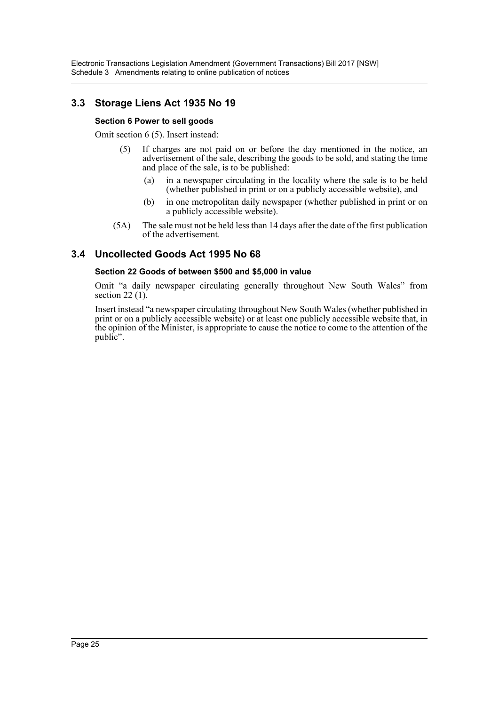# **3.3 Storage Liens Act 1935 No 19**

#### **Section 6 Power to sell goods**

Omit section 6 (5). Insert instead:

- (5) If charges are not paid on or before the day mentioned in the notice, an advertisement of the sale, describing the goods to be sold, and stating the time and place of the sale, is to be published:
	- (a) in a newspaper circulating in the locality where the sale is to be held (whether published in print or on a publicly accessible website), and
	- (b) in one metropolitan daily newspaper (whether published in print or on a publicly accessible website).
- (5A) The sale must not be held less than 14 days after the date of the first publication of the advertisement.

# **3.4 Uncollected Goods Act 1995 No 68**

#### **Section 22 Goods of between \$500 and \$5,000 in value**

Omit "a daily newspaper circulating generally throughout New South Wales" from section  $22(1)$ .

Insert instead "a newspaper circulating throughout New South Wales (whether published in print or on a publicly accessible website) or at least one publicly accessible website that, in the opinion of the Minister, is appropriate to cause the notice to come to the attention of the public".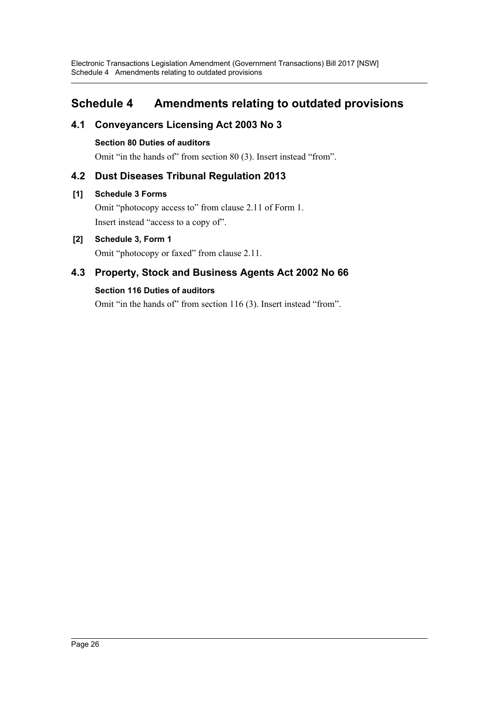# <span id="page-26-0"></span>**Schedule 4 Amendments relating to outdated provisions**

# **4.1 Conveyancers Licensing Act 2003 No 3**

# **Section 80 Duties of auditors**

Omit "in the hands of" from section 80 (3). Insert instead "from".

# **4.2 Dust Diseases Tribunal Regulation 2013**

# **[1] Schedule 3 Forms**

Omit "photocopy access to" from clause 2.11 of Form 1. Insert instead "access to a copy of".

# **[2] Schedule 3, Form 1**

Omit "photocopy or faxed" from clause 2.11.

# **4.3 Property, Stock and Business Agents Act 2002 No 66**

# **Section 116 Duties of auditors**

Omit "in the hands of" from section 116 (3). Insert instead "from".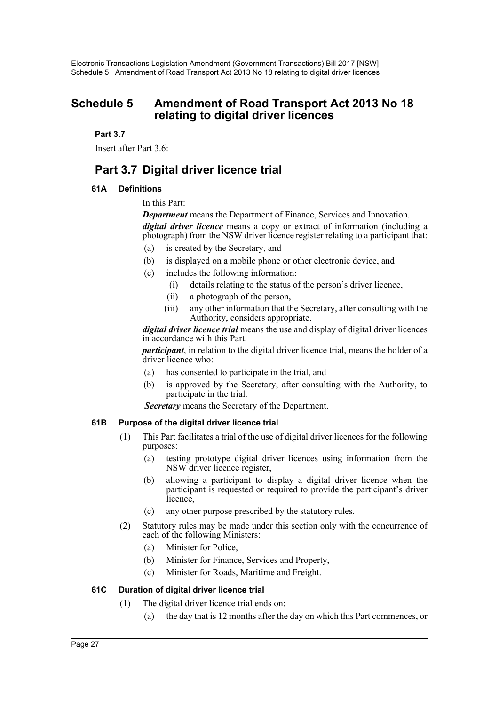# <span id="page-27-0"></span>**Schedule 5 Amendment of Road Transport Act 2013 No 18 relating to digital driver licences**

#### **Part 3.7**

Insert after Part 3.6:

# **Part 3.7 Digital driver licence trial**

#### **61A Definitions**

In this Part:

*Department* means the Department of Finance, Services and Innovation. *digital driver licence* means a copy or extract of information (including a

photograph) from the NSW driver licence register relating to a participant that:

- (a) is created by the Secretary, and
- (b) is displayed on a mobile phone or other electronic device, and
- (c) includes the following information:
	- (i) details relating to the status of the person's driver licence,
	- (ii) a photograph of the person,
	- (iii) any other information that the Secretary, after consulting with the Authority, considers appropriate.

*digital driver licence trial* means the use and display of digital driver licences in accordance with this Part.

*participant*, in relation to the digital driver licence trial, means the holder of a driver licence who:

- (a) has consented to participate in the trial, and
- (b) is approved by the Secretary, after consulting with the Authority, to participate in the trial.

 *Secretary* means the Secretary of the Department.

#### **61B Purpose of the digital driver licence trial**

- (1) This Part facilitates a trial of the use of digital driver licences for the following purposes:
	- (a) testing prototype digital driver licences using information from the NSW driver licence register,
	- (b) allowing a participant to display a digital driver licence when the participant is requested or required to provide the participant's driver licence,
	- (c) any other purpose prescribed by the statutory rules.
- (2) Statutory rules may be made under this section only with the concurrence of each of the following Ministers:
	- (a) Minister for Police,
	- (b) Minister for Finance, Services and Property,
	- (c) Minister for Roads, Maritime and Freight.

#### **61C Duration of digital driver licence trial**

- (1) The digital driver licence trial ends on:
	- (a) the day that is 12 months after the day on which this Part commences, or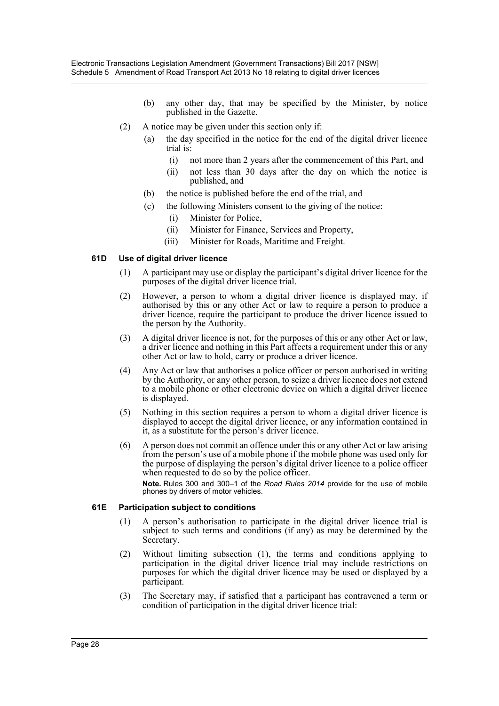- (b) any other day, that may be specified by the Minister, by notice published in the Gazette.
- (2) A notice may be given under this section only if:
	- (a) the day specified in the notice for the end of the digital driver licence trial is:
		- (i) not more than 2 years after the commencement of this Part, and
		- (ii) not less than 30 days after the day on which the notice is published, and
	- (b) the notice is published before the end of the trial, and
	- (c) the following Ministers consent to the giving of the notice:
		- (i) Minister for Police,
		- (ii) Minister for Finance, Services and Property,
		- (iii) Minister for Roads, Maritime and Freight.

#### **61D Use of digital driver licence**

- (1) A participant may use or display the participant's digital driver licence for the purposes of the digital driver licence trial.
- (2) However, a person to whom a digital driver licence is displayed may, if authorised by this or any other Act or law to require a person to produce a driver licence, require the participant to produce the driver licence issued to the person by the Authority.
- (3) A digital driver licence is not, for the purposes of this or any other Act or law, a driver licence and nothing in this Part affects a requirement under this or any other Act or law to hold, carry or produce a driver licence.
- (4) Any Act or law that authorises a police officer or person authorised in writing by the Authority, or any other person, to seize a driver licence does not extend to a mobile phone or other electronic device on which a digital driver licence is displayed.
- (5) Nothing in this section requires a person to whom a digital driver licence is displayed to accept the digital driver licence, or any information contained in it, as a substitute for the person's driver licence.
- (6) A person does not commit an offence under this or any other Act or law arising from the person's use of a mobile phone if the mobile phone was used only for the purpose of displaying the person's digital driver licence to a police officer when requested to do so by the police officer.

**Note.** Rules 300 and 300–1 of the *Road Rules 2014* provide for the use of mobile phones by drivers of motor vehicles.

#### **61E Participation subject to conditions**

- (1) A person's authorisation to participate in the digital driver licence trial is subject to such terms and conditions (if any) as may be determined by the Secretary.
- (2) Without limiting subsection (1), the terms and conditions applying to participation in the digital driver licence trial may include restrictions on purposes for which the digital driver licence may be used or displayed by a participant.
- (3) The Secretary may, if satisfied that a participant has contravened a term or condition of participation in the digital driver licence trial: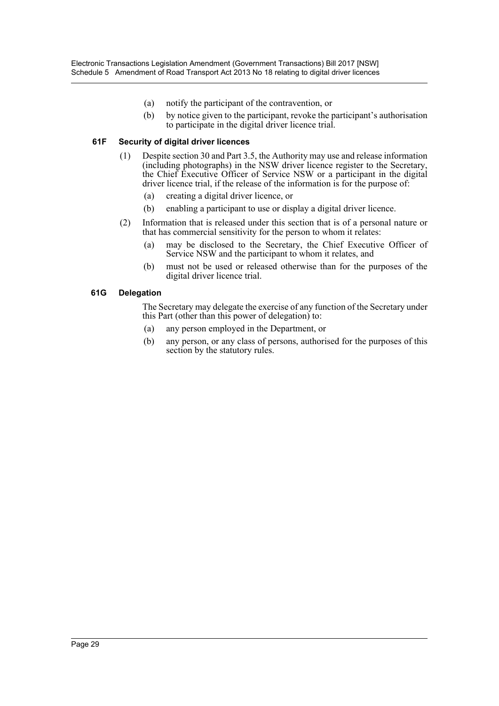- (a) notify the participant of the contravention, or
- (b) by notice given to the participant, revoke the participant's authorisation to participate in the digital driver licence trial.

#### **61F Security of digital driver licences**

- (1) Despite section 30 and Part 3.5, the Authority may use and release information (including photographs) in the NSW driver licence register to the Secretary, the Chief Executive Officer of Service NSW or a participant in the digital driver licence trial, if the release of the information is for the purpose of:
	- (a) creating a digital driver licence, or
	- (b) enabling a participant to use or display a digital driver licence.
- (2) Information that is released under this section that is of a personal nature or that has commercial sensitivity for the person to whom it relates:
	- (a) may be disclosed to the Secretary, the Chief Executive Officer of Service NSW and the participant to whom it relates, and
	- (b) must not be used or released otherwise than for the purposes of the digital driver licence trial.

#### **61G Delegation**

The Secretary may delegate the exercise of any function of the Secretary under this Part (other than this power of delegation) to:

- (a) any person employed in the Department, or
- (b) any person, or any class of persons, authorised for the purposes of this section by the statutory rules.